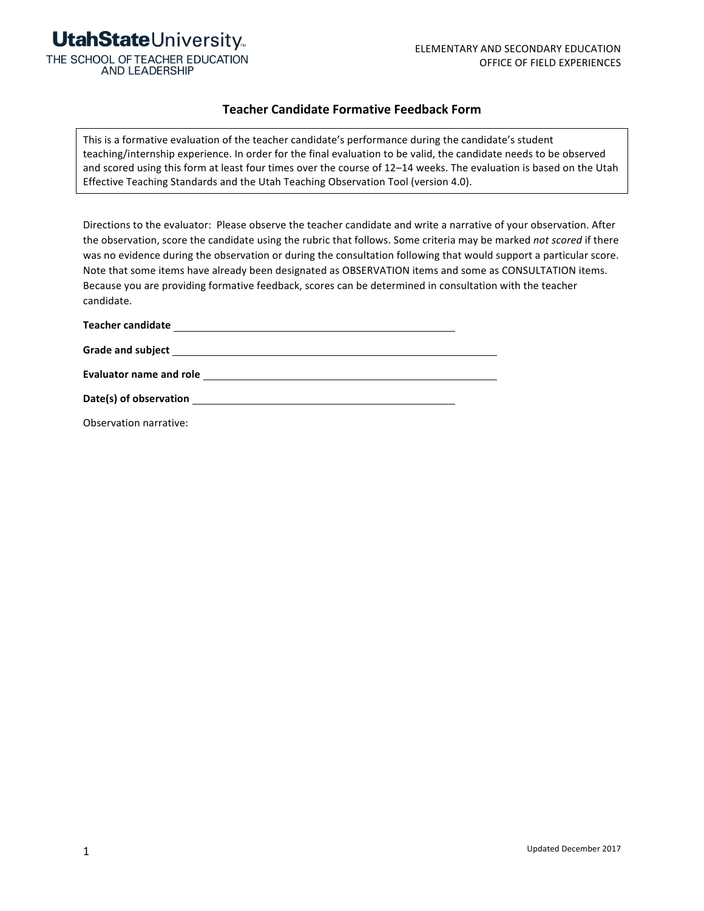

**AND LEADERSHIP** 

#### **Teacher Candidate Formative Feedback Form**

This is a formative evaluation of the teacher candidate's performance during the candidate's student teaching/internship experience. In order for the final evaluation to be valid, the candidate needs to be observed and scored using this form at least four times over the course of 12-14 weeks. The evaluation is based on the Utah Effective Teaching Standards and the Utah Teaching Observation Tool (version 4.0).

Directions to the evaluator: Please observe the teacher candidate and write a narrative of your observation. After the observation, score the candidate using the rubric that follows. Some criteria may be marked not scored if there was no evidence during the observation or during the consultation following that would support a particular score. Note that some items have already been designated as OBSERVATION items and some as CONSULTATION items. Because you are providing formative feedback, scores can be determined in consultation with the teacher candidate.

| <b>Teacher candidate</b><br>the control of the control of the control of |  |
|--------------------------------------------------------------------------|--|
|                                                                          |  |
| <b>Evaluator name and role</b>                                           |  |
| Date(s) of observation                                                   |  |

Observation narrative: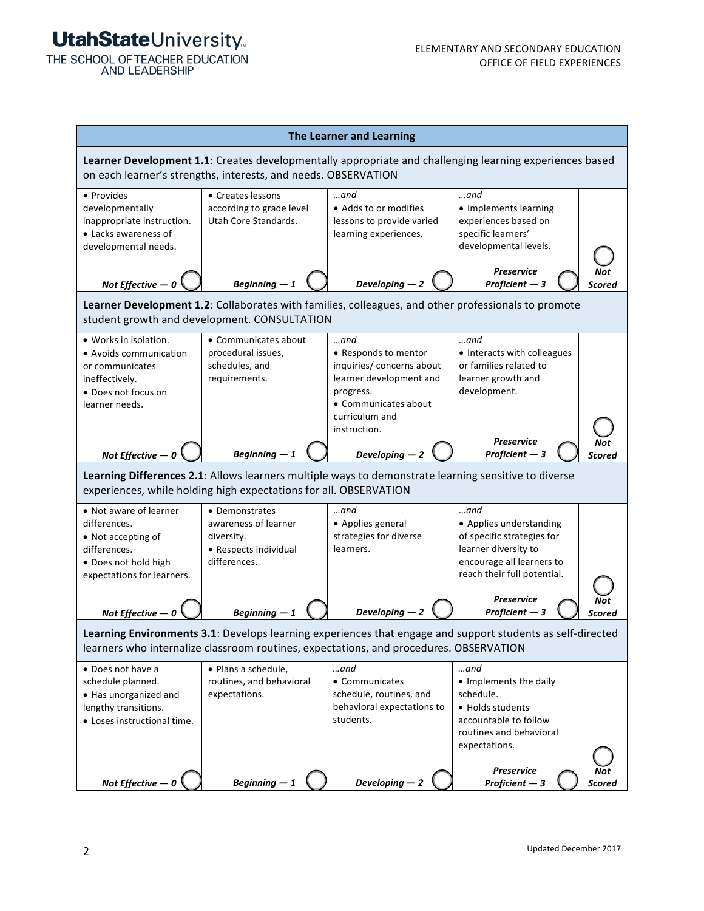THE SCHOOL OF TEACHER EDUCATION **AND LEADERSHIP** 

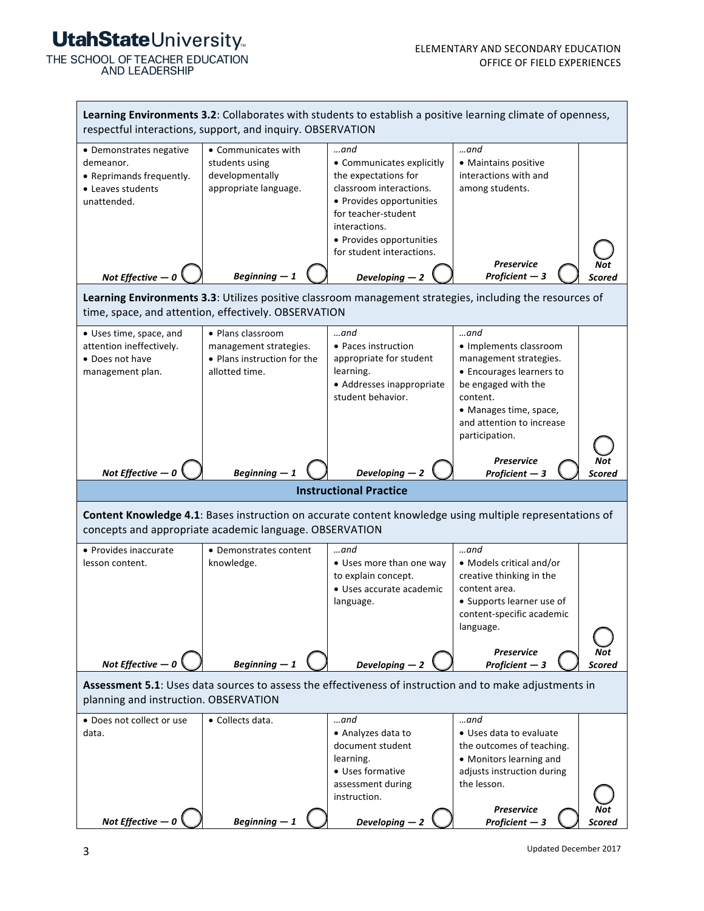THE SCHOOL OF TEACHER EDUCATION **AND LEADERSHIP** 

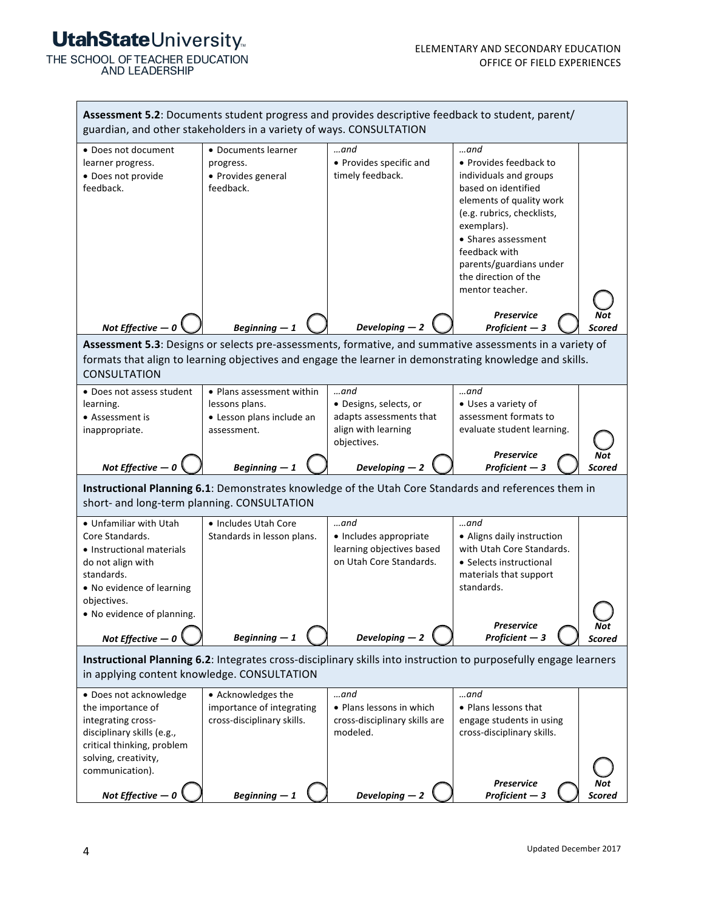THE SCHOOL OF TEACHER EDUCATION<br>AND LEADERSHIP

| Assessment 5.2: Documents student progress and provides descriptive feedback to student, parent/<br>guardian, and other stakeholders in a variety of ways. CONSULTATION                                                                                                                                                            |                                                                                         |                                                                                                   |                                                                                                                                                                                                                                                                          |               |  |  |
|------------------------------------------------------------------------------------------------------------------------------------------------------------------------------------------------------------------------------------------------------------------------------------------------------------------------------------|-----------------------------------------------------------------------------------------|---------------------------------------------------------------------------------------------------|--------------------------------------------------------------------------------------------------------------------------------------------------------------------------------------------------------------------------------------------------------------------------|---------------|--|--|
| • Does not document<br>learner progress.<br>· Does not provide<br>feedback.                                                                                                                                                                                                                                                        | • Documents learner<br>progress.<br>• Provides general<br>feedback.                     | …and<br>• Provides specific and<br>timely feedback.                                               | $$ and<br>• Provides feedback to<br>individuals and groups<br>based on identified<br>elements of quality work<br>(e.g. rubrics, checklists,<br>exemplars).<br>• Shares assessment<br>feedback with<br>parents/guardians under<br>the direction of the<br>mentor teacher. |               |  |  |
|                                                                                                                                                                                                                                                                                                                                    |                                                                                         |                                                                                                   | <b>Preservice</b>                                                                                                                                                                                                                                                        |               |  |  |
| Developing $-2$<br>Not Effective $-0$<br>Beginning $-1$<br>Proficient $-3$<br>Scored<br>Assessment 5.3: Designs or selects pre-assessments, formative, and summative assessments in a variety of<br>formats that align to learning objectives and engage the learner in demonstrating knowledge and skills.<br><b>CONSULTATION</b> |                                                                                         |                                                                                                   |                                                                                                                                                                                                                                                                          |               |  |  |
| • Does not assess student<br>learning.<br>• Assessment is<br>inappropriate.                                                                                                                                                                                                                                                        | • Plans assessment within<br>lessons plans.<br>• Lesson plans include an<br>assessment. | $$ and<br>· Designs, selects, or<br>adapts assessments that<br>align with learning<br>objectives. | $$ and<br>• Uses a variety of<br>assessment formats to<br>evaluate student learning.<br><b>Preservice</b>                                                                                                                                                                |               |  |  |
| Developing $-2$<br>Proficient $-3$<br>Not Effective $-0$<br>Beginning $-1$<br>Scored<br>Instructional Planning 6.1: Demonstrates knowledge of the Utah Core Standards and references them in<br>short- and long-term planning. CONSULTATION                                                                                        |                                                                                         |                                                                                                   |                                                                                                                                                                                                                                                                          |               |  |  |
| • Unfamiliar with Utah<br>Core Standards.<br>• Instructional materials<br>do not align with<br>standards.<br>. No evidence of learning<br>objectives.                                                                                                                                                                              | • Includes Utah Core<br>Standards in lesson plans.                                      | $$ and<br>• Includes appropriate<br>learning objectives based<br>on Utah Core Standards.          | $$ and<br>• Aligns daily instruction<br>with Utah Core Standards.<br>• Selects instructional<br>materials that support<br>standards.                                                                                                                                     |               |  |  |
| . No evidence of planning.<br>Not Effective $-0$                                                                                                                                                                                                                                                                                   | $Beginning-1$                                                                           | Developing $-2$                                                                                   | <b>Preservice</b><br>Proficient $-3$                                                                                                                                                                                                                                     | Not<br>Scored |  |  |
| Instructional Planning 6.2: Integrates cross-disciplinary skills into instruction to purposefully engage learners<br>in applying content knowledge. CONSULTATION                                                                                                                                                                   |                                                                                         |                                                                                                   |                                                                                                                                                                                                                                                                          |               |  |  |
| • Does not acknowledge<br>the importance of<br>integrating cross-<br>disciplinary skills (e.g.,<br>critical thinking, problem                                                                                                                                                                                                      | • Acknowledges the<br>importance of integrating<br>cross-disciplinary skills.           | …and<br>• Plans lessons in which<br>cross-disciplinary skills are<br>modeled.                     | …and<br>• Plans lessons that<br>engage students in using<br>cross-disciplinary skills.                                                                                                                                                                                   |               |  |  |
| solving, creativity,<br>communication).<br>Not Effective -                                                                                                                                                                                                                                                                         | $Beginning-1$                                                                           | Developing $-2$                                                                                   | <b>Preservice</b><br>Proficient $-3$                                                                                                                                                                                                                                     | Scored        |  |  |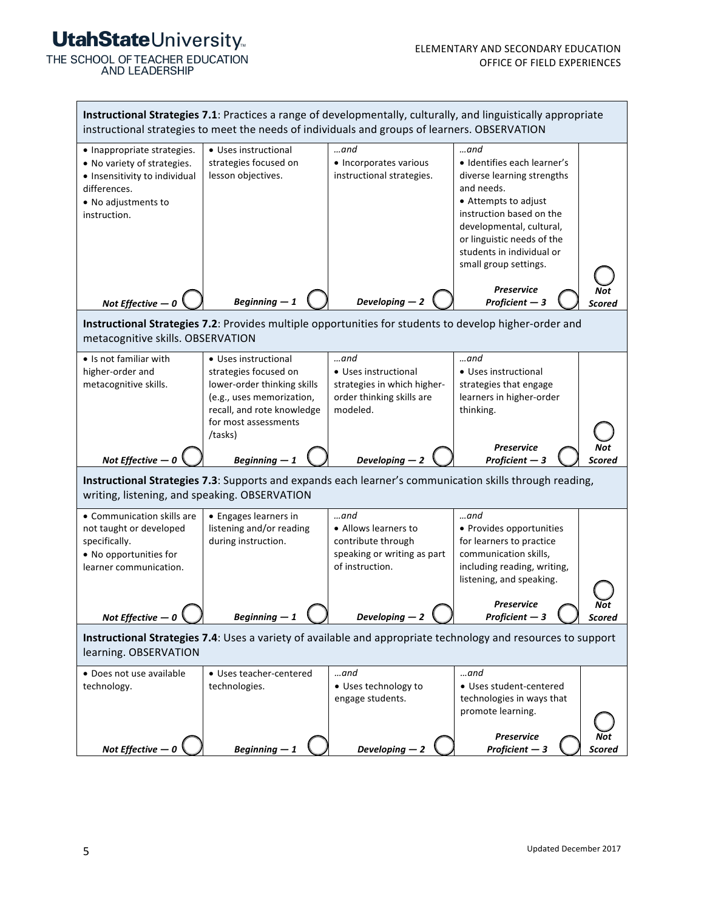THE SCHOOL OF TEACHER EDUCATION<br>AND LEADERSHIP

| Instructional Strategies 7.1: Practices a range of developmentally, culturally, and linguistically appropriate<br>instructional strategies to meet the needs of individuals and groups of learners. OBSERVATION |                                                                                                                                                                            |                                                                                                        |                                                                                                                                                                                                                                                     |  |  |  |
|-----------------------------------------------------------------------------------------------------------------------------------------------------------------------------------------------------------------|----------------------------------------------------------------------------------------------------------------------------------------------------------------------------|--------------------------------------------------------------------------------------------------------|-----------------------------------------------------------------------------------------------------------------------------------------------------------------------------------------------------------------------------------------------------|--|--|--|
| • Inappropriate strategies.<br>• No variety of strategies.<br>· Insensitivity to individual<br>differences.<br>• No adjustments to<br>instruction.                                                              | • Uses instructional<br>strategies focused on<br>lesson objectives.                                                                                                        | …and<br>• Incorporates various<br>instructional strategies.                                            | …and<br>· Identifies each learner's<br>diverse learning strengths<br>and needs.<br>• Attempts to adjust<br>instruction based on the<br>developmental, cultural,<br>or linguistic needs of the<br>students in individual or<br>small group settings. |  |  |  |
| Not Effective $-0$                                                                                                                                                                                              | Beginning $-1$                                                                                                                                                             | Developing $-2$                                                                                        | <b>Preservice</b><br>Proficient $-3$<br>Scored                                                                                                                                                                                                      |  |  |  |
|                                                                                                                                                                                                                 | Instructional Strategies 7.2: Provides multiple opportunities for students to develop higher-order and<br>metacognitive skills. OBSERVATION                                |                                                                                                        |                                                                                                                                                                                                                                                     |  |  |  |
| • Is not familiar with<br>higher-order and<br>metacognitive skills.                                                                                                                                             | • Uses instructional<br>strategies focused on<br>lower-order thinking skills<br>(e.g., uses memorization,<br>recall, and rote knowledge<br>for most assessments<br>/tasks) | $$ and<br>• Uses instructional<br>strategies in which higher-<br>order thinking skills are<br>modeled. | …and<br>• Uses instructional<br>strategies that engage<br>learners in higher-order<br>thinking.                                                                                                                                                     |  |  |  |
| Not Effective $-0$                                                                                                                                                                                              | Beginning $-1$                                                                                                                                                             | Developing $-2$                                                                                        | <b>Preservice</b><br>Proficient $-3$<br>icored                                                                                                                                                                                                      |  |  |  |
| Instructional Strategies 7.3: Supports and expands each learner's communication skills through reading,<br>writing, listening, and speaking. OBSERVATION                                                        |                                                                                                                                                                            |                                                                                                        |                                                                                                                                                                                                                                                     |  |  |  |
| • Communication skills are<br>not taught or developed<br>specifically.<br>• No opportunities for<br>learner communication.                                                                                      | • Engages learners in<br>listening and/or reading<br>during instruction.                                                                                                   | …and<br>• Allows learners to<br>contribute through<br>speaking or writing as part<br>of instruction.   | …and<br>• Provides opportunities<br>for learners to practice<br>communication skills,<br>including reading, writing,<br>listening, and speaking.                                                                                                    |  |  |  |
| Not Effective $-0$                                                                                                                                                                                              | $begin{array}{c} \texttt{beginning} -1 \end{array}$                                                                                                                        | $\bm{\nu}$ eveloping — 2                                                                               | <b>Preservice</b><br>$Projicient - 3$<br>scorea                                                                                                                                                                                                     |  |  |  |
| Instructional Strategies 7.4: Uses a variety of available and appropriate technology and resources to support<br>learning. OBSERVATION                                                                          |                                                                                                                                                                            |                                                                                                        |                                                                                                                                                                                                                                                     |  |  |  |
| • Does not use available<br>technology.                                                                                                                                                                         | • Uses teacher-centered<br>technologies.                                                                                                                                   | …and<br>• Uses technology to<br>engage students.                                                       | …and<br>• Uses student-centered<br>technologies in ways that<br>promote learning.                                                                                                                                                                   |  |  |  |
| Not Effective $-0$                                                                                                                                                                                              | $Beginning-1$                                                                                                                                                              | Developing -                                                                                           | Preservice<br>Proficient $-3$<br>Scored                                                                                                                                                                                                             |  |  |  |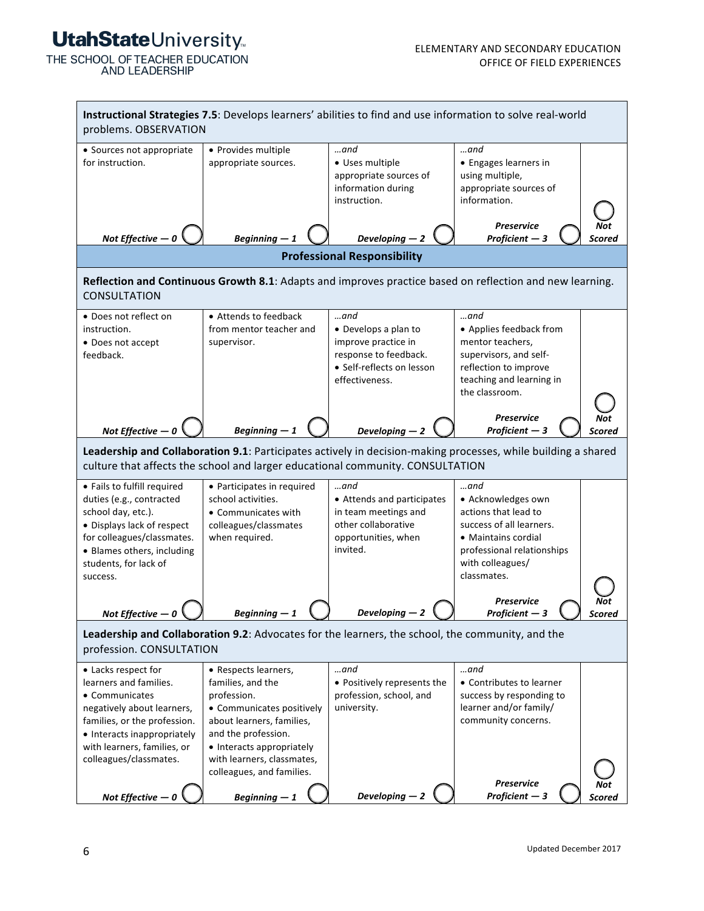THE SCHOOL OF TEACHER EDUCATION **AND LEADERSHIP** 

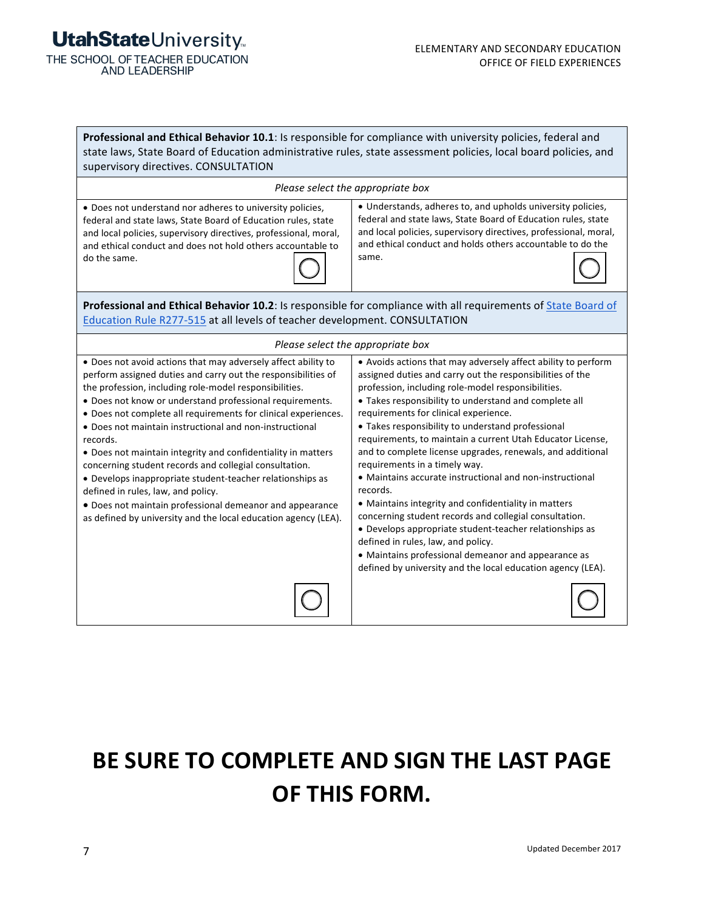THE SCHOOL OF TEACHER EDUCATION<br>AND LEADERSHIP

| Professional and Ethical Behavior 10.1: Is responsible for compliance with university policies, federal and<br>state laws, State Board of Education administrative rules, state assessment policies, local board policies, and<br>supervisory directives. CONSULTATION                                                                                                                                                                                                                                                                                                                                                                                                                                                                                   |                                                                                                                                                                                                                                                                                                                                                                                                                                                                                                                                                                                                                                                                                                                                                                                                                                                                                                                       |  |  |  |
|----------------------------------------------------------------------------------------------------------------------------------------------------------------------------------------------------------------------------------------------------------------------------------------------------------------------------------------------------------------------------------------------------------------------------------------------------------------------------------------------------------------------------------------------------------------------------------------------------------------------------------------------------------------------------------------------------------------------------------------------------------|-----------------------------------------------------------------------------------------------------------------------------------------------------------------------------------------------------------------------------------------------------------------------------------------------------------------------------------------------------------------------------------------------------------------------------------------------------------------------------------------------------------------------------------------------------------------------------------------------------------------------------------------------------------------------------------------------------------------------------------------------------------------------------------------------------------------------------------------------------------------------------------------------------------------------|--|--|--|
| Please select the appropriate box                                                                                                                                                                                                                                                                                                                                                                                                                                                                                                                                                                                                                                                                                                                        |                                                                                                                                                                                                                                                                                                                                                                                                                                                                                                                                                                                                                                                                                                                                                                                                                                                                                                                       |  |  |  |
| • Does not understand nor adheres to university policies,<br>federal and state laws, State Board of Education rules, state<br>and local policies, supervisory directives, professional, moral,<br>and ethical conduct and does not hold others accountable to<br>do the same.                                                                                                                                                                                                                                                                                                                                                                                                                                                                            | • Understands, adheres to, and upholds university policies,<br>federal and state laws, State Board of Education rules, state<br>and local policies, supervisory directives, professional, moral,<br>and ethical conduct and holds others accountable to do the<br>same.                                                                                                                                                                                                                                                                                                                                                                                                                                                                                                                                                                                                                                               |  |  |  |
| Professional and Ethical Behavior 10.2: Is responsible for compliance with all requirements of State Board of<br>Education Rule R277-515 at all levels of teacher development. CONSULTATION                                                                                                                                                                                                                                                                                                                                                                                                                                                                                                                                                              |                                                                                                                                                                                                                                                                                                                                                                                                                                                                                                                                                                                                                                                                                                                                                                                                                                                                                                                       |  |  |  |
| Please select the appropriate box                                                                                                                                                                                                                                                                                                                                                                                                                                                                                                                                                                                                                                                                                                                        |                                                                                                                                                                                                                                                                                                                                                                                                                                                                                                                                                                                                                                                                                                                                                                                                                                                                                                                       |  |  |  |
| . Does not avoid actions that may adversely affect ability to<br>perform assigned duties and carry out the responsibilities of<br>the profession, including role-model responsibilities.<br>• Does not know or understand professional requirements.<br>• Does not complete all requirements for clinical experiences.<br>• Does not maintain instructional and non-instructional<br>records.<br>• Does not maintain integrity and confidentiality in matters<br>concerning student records and collegial consultation.<br>• Develops inappropriate student-teacher relationships as<br>defined in rules, law, and policy.<br>• Does not maintain professional demeanor and appearance<br>as defined by university and the local education agency (LEA). | • Avoids actions that may adversely affect ability to perform<br>assigned duties and carry out the responsibilities of the<br>profession, including role-model responsibilities.<br>• Takes responsibility to understand and complete all<br>requirements for clinical experience.<br>• Takes responsibility to understand professional<br>requirements, to maintain a current Utah Educator License,<br>and to complete license upgrades, renewals, and additional<br>requirements in a timely way.<br>• Maintains accurate instructional and non-instructional<br>records.<br>• Maintains integrity and confidentiality in matters<br>concerning student records and collegial consultation.<br>• Develops appropriate student-teacher relationships as<br>defined in rules, law, and policy.<br>• Maintains professional demeanor and appearance as<br>defined by university and the local education agency (LEA). |  |  |  |

# **BE SURE TO COMPLETE AND SIGN THE LAST PAGE OF THIS FORM.**